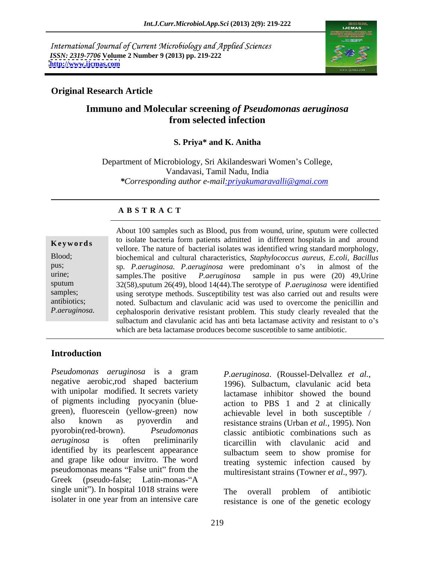International Journal of Current Microbiology and Applied Sciences *ISSN: 2319-7706* **Volume 2 Number 9 (2013) pp. 219-222 <http://www.ijcmas.com>**



## **Original Research Article**

# **Immuno and Molecular screening** *of Pseudomonas aeruginosa* **from selected infection**

## **S. Priya\* and K. Anitha**

Department of Microbiology, Sri Akilandeswari Women's College, Vandavasi, Tamil Nadu, India *\*Corresponding author e-mail:priyakumaravalli@gmai.com*

### **A B S T R A C T**

P.aeruginosa. cephalosporin derivative resistant problem. This study clearly revealed that the **Keywords** to isolate bacterial form patients admitted in different hospitals in and around vellore. The nature of bacterial isolates was identified wring standard morphology, Blood; biochemical and cultural characteristics, *Staphylococcus aureus, E.coli, Bacillus* pus; sp. *P.aeruginosa. P.aeruginosa* were predominant o's in almost of the urine; samples.The positive *P.aeruginosa* sample in pus were (20) 49,Urine sputum 32(58),sputum 26(49), blood 14(44).The serotype of *P.aeruginosa* were identified samples; using serotype methods. Susceptibility test was also carried out and results were antibiotics; noted. Sulbactum and clavulanic acid was used to overcome the penicillin and About 100 samples such as Blood, pus from wound, urine, sputum were collected to isolate bacteria form patients admitted in different hospitals in and around sulbactum and clavulanic acid has anti beta lactamase activity and resistant to o's which are beta lactamase produces become susceptible to same antibiotic.

# **Introduction**

*Pseudomonas aeruginosa* is a gram negative aerobic,rod shaped bacterium with unipolar modified. It secrets variety of pigments including pyocyanin (blue green), fluorescein (yellow-green) now also known as pyoverdin and resistance strains (Urban *et al.,* 1995). Non pyorobin(red-brown). *Pseudomonas*  classic antibiotic combinations such as *aeruginosa* is often preliminarily ticarcillin with clavulanic acid and identified by its pearlescent appearance and grape like odour invitro. The word pseudomonas means "False unit" from the  $multiplication$  strains (Towner et al. 997). Greek (pseudo-false; Latin-monas-"A single unit"). In hospital 1018 strains were The overall problem of antibiotic

*P.aeruginosa*. (Roussel-Delvallez *et al.,* 1996). Sulbactum, clavulanic acid beta lactamase inhibitor showed the bound action to PBS 1 and 2 at clinically achievable level in both susceptible / sulbactum seem to show promise for treating systemic infection caused by multiresistant strains (Towner e*t al*., 997).

isolater in one year from an intensive care energy resistance is one of the genetic ecology The overall problem of antibiotic resistance is one of the genetic ecology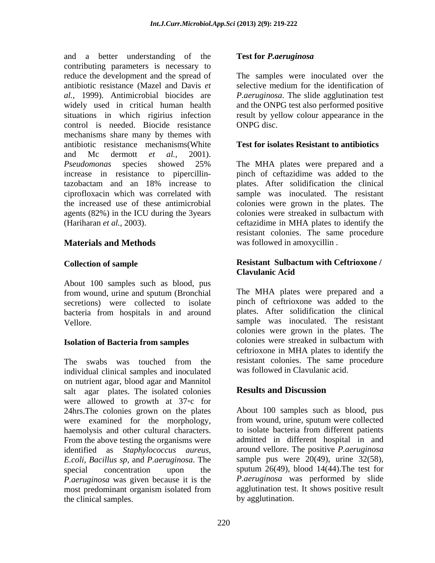and a better understanding of the **Test for** *P. aeruginosa* contributing parameters is necessary to reduce the development and the spread of The samples were inoculated over the antibiotic resistance (Mazel and Davis *et*  selective medium for the identification of *al.,* 1999). Antimicrobial biocides are *P.aeruginosa*. The slide agglutination test widely used in critical human health situations in which rigirius infection result by yellow colour appearance in the control is needed. Biocide resistance ONPG disc. mechanisms share many by themes with antibiotic resistance mechanisms(White and Mc dermott *et al.,*2001). *Pseudomonas* species showed 25% increase in resistance to pipercillin-pinch of ceftazidime was added to the tazobactam and an 18% increase to ciprofloxacin which was correlated with sample was inoculated. The resistant the increased use of these antimicrobial colonies were grown in the plates. The agents (82%) in the ICU during the 3years colonies were streaked in sulbactum with

About 100 samples such as blood, pus secretions) were collected to isolate bacteria from hospitals in and around

individual clinical samples and inoculated on nutrient agar, blood agar and Mannitol salt agar plates. The isolated colonies **Results and Discussion** were allowed to growth at  $37$  c for 24hrs.The colonies grown on the plates were examined for the morphology, haemolysis and other cultural characters. The solate bacteria from different patients<br>From the above testing the organisms were admitted in different hospital in and identified as *Staphylococcus aureus,* around vellore. The positive *P.aeruginosa E.coli, Bacillus sp*, and *P.aeruginosa*. The special concentration upon the sputum 26(49), blood 14(44).The test for *P.aeruginosa* was given because it is the most predominant organism isolated from the clinical samples.

### **Test for** *P.aeruginosa*

and the ONPG test also performed positive ONPG disc.

### **Test for isolates Resistant to antibiotics**

(Hariharan *et al.,* 2003). ceftazidime in MHA plates to identify the **Materials and Methods** was followed in amoxycillin . The MHA plates were prepared and a plates. After solidification the clinical resistant colonies. The same procedure

### **Collection of sample Resistant Sulbactum with Ceftrioxone / Clavulanic Acid**

from wound, urine and sputum (Bronchial Vellore. sample was inoculated. The resistant **Isolation of Bacteria from samples** colonies were streaked in sulbactum with The swabs was touched from the resistant colonies. The same procedure The MHA plates were prepared and a pinch of ceftrioxone was added to the plates. After solidification the clinical colonies were grown in the plates. The colonies were streaked in sulbactum with ceftrioxone in MHA plates to identify the resistant colonies. The same procedure was followed in Clavulanic acid.

### **Results and Discussion**

About 100 samples such as blood, pus from wound, urine, sputum were collected to isolate bacteria from different patients admitted in different hospital in and sample pus were  $20(49)$ , urine  $32(58)$ , *P.aeruginosa* was performed by slide agglutination test. It shows positive result by agglutination.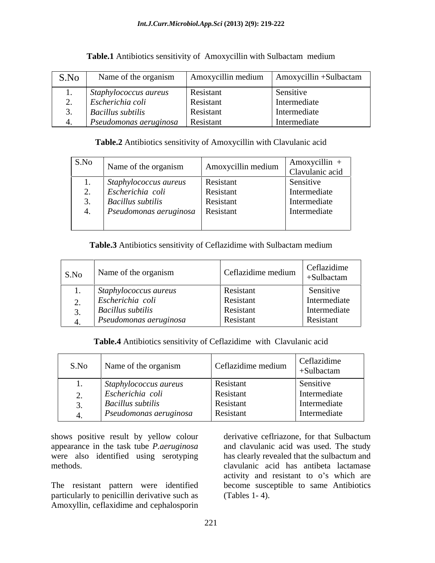|                                         |           | $\mathbf{S}.\mathbf{No}$ Name of the organism Amoxycillin medium Amoxycillin +Sulbactam |
|-----------------------------------------|-----------|-----------------------------------------------------------------------------------------|
| 1. Staphylococcus aureus                | Resistant | Sensitive                                                                               |
| $\sim$ Escherichia cou                  | Resistant | Intermediate                                                                            |
| <b>Bacillus subtilis</b>                | Resistant | Intermediate                                                                            |
| $\Box$ Pseudomonas aeruginosa Resistant |           | Intermediate                                                                            |

**Table.1** Antibiotics sensitivity of Amoxycillin with Sulbactam medium

## **Table.2** Antibiotics sensitivity of Amoxycillin with Clavulanic acid

| S.No | Name of the organism                                            | Amoxycillin medium | Amoxycillin -<br>Clavulanic acid |
|------|-----------------------------------------------------------------|--------------------|----------------------------------|
|      | $\left $ <i>Staphylococcus aureus</i> $\left $ <i>Resistant</i> |                    | Sensitive                        |
|      | Escherichia coli                                                | <b>Resistant</b>   | Intermediate                     |
|      | <b>Bacillus subtilis</b>                                        | Resistant          | Intermediate                     |
|      | $\vert$ Pseudomonas aeruginosa $\vert$ Resistant                |                    | Intermediate                     |
|      |                                                                 |                    |                                  |

## **Table.3** Antibiotics sensitivity of Ceflazidime with Sulbactam medium

| S.No | Name of the organism     | Ceflazidime medium | Ceflazidime<br>+Sulbactam |
|------|--------------------------|--------------------|---------------------------|
|      | Staphylococcus aureus    | Resistant          | Sensitive                 |
|      | Escherichia coli         | Resistant          | Intermediate              |
|      |                          |                    |                           |
|      | <b>Bacillus subtilis</b> | Resistant          | Intermediate              |
|      | Pseudomonas aeruginosa   | Resistant          | Resistant                 |

**Table.4** Antibiotics sensitivity of Ceflazidime with Clavulanic acid

| $\mathbf{S}.\mathbf{No}$ Name of the organism | Ceflazidime medium | Ceflazidime<br>+Sulbactam |
|-----------------------------------------------|--------------------|---------------------------|
| $\vert$ Staphylococcus aureus                 | Resistant          | Sensitive                 |
|                                               |                    |                           |
| Escherichia coli                              | Resistant          | Intermediate              |
| $\vert$ Bacillus subtilis                     | Resistant          | Intermediate              |
| Pseudomonas aeruginosa                        | Resistant          | Intermediate              |

shows positive result by yellow colour<br>appearance in the task tube *P. aeruginosa* and clavulanic acid was used. The study were also identified using serotyping

The resistant pattern were identified particularly to penicillin derivative such as (Tables 1-4). Amoxyllin, ceflaxidime and cephalosporin

appearance in the task tube *P.aeruginosa* and clavulanic acid was used. The study methods. clavulanic acid has antibeta lactamase derivative ceflriazone, for that Sulbactum has clearly revealed that the sulbactum and activity and resistant to o's which are become susceptible to same Antibiotics (Tables 1- 4).